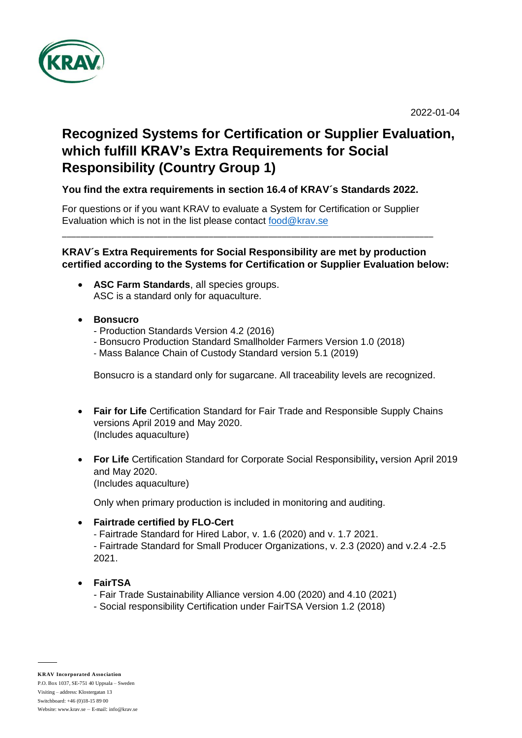

2022-01-04

# **Recognized Systems for Certification or Supplier Evaluation, which fulfill KRAV's Extra Requirements for Social Responsibility (Country Group 1)**

#### **You find the extra requirements in section 16.4 of KRAV´s Standards 2022.**

For questions or if you want KRAV to evaluate a System for Certification or Supplier Evaluation which is not in the list please contact [food@krav.se](mailto:food@krav.se)

\_\_\_\_\_\_\_\_\_\_\_\_\_\_\_\_\_\_\_\_\_\_\_\_\_\_\_\_\_\_\_\_\_\_\_\_\_\_\_\_\_\_\_\_\_\_\_\_\_\_\_\_\_\_\_\_\_\_\_\_\_\_\_\_\_\_\_\_\_\_\_\_\_\_\_\_\_\_\_\_\_

#### **KRAV´s Extra Requirements for Social Responsibility are met by production certified according to the Systems for Certification or Supplier Evaluation below:**

- **ASC Farm Standards**, all species groups. ASC is a standard only for aquaculture.
- **Bonsucro**
	- Production Standards Version 4.2 (2016)
	- Bonsucro Production Standard Smallholder Farmers Version 1.0 (2018)
	- Mass Balance Chain of Custody Standard version 5.1 (2019)

Bonsucro is a standard only for sugarcane. All traceability levels are recognized.

- **Fair for Life** Certification Standard for Fair Trade and Responsible Supply Chains versions April 2019 and May 2020. (Includes aquaculture)
- **For Life** Certification Standard for Corporate Social Responsibility**,** version April 2019 and May 2020. (Includes aquaculture)

Only when primary production is included in monitoring and auditing.

#### • **Fairtrade certified by FLO**‐**Cert**

- Fairtrade Standard for Hired Labor, v. 1.6 (2020) and v. 1.7 2021.

- Fairtrade Standard for Small Producer Organizations, v. 2.3 (2020) and v.2.4 -2.5 2021.

#### • **FairTSA**

- Fair Trade Sustainability Alliance version 4.00 (2020) and 4.10 (2021)
- Social responsibility Certification under FairTSA Version 1.2 (2018)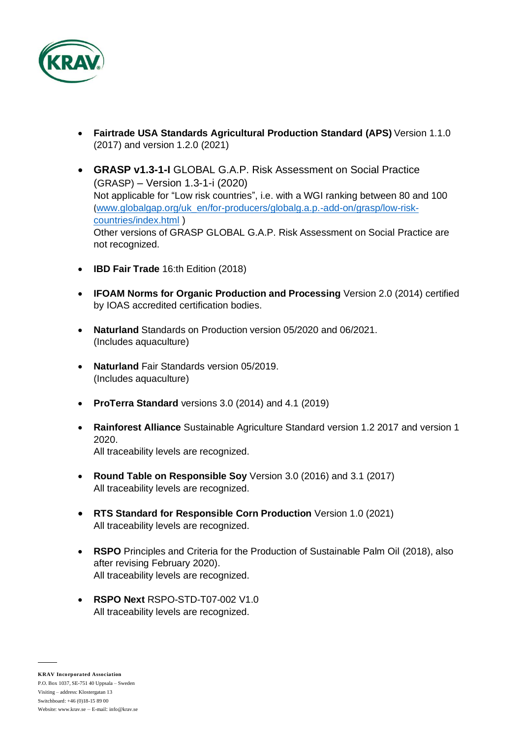

- **Fairtrade USA Standards Agricultural Production Standard (APS)** Version 1.1.0 (2017) and version 1.2.0 (2021)
- **GRASP v1.3-1-I** GLOBAL G.A.P. Risk Assessment on Social Practice (GRASP) – Version 1.3-1-i (2020) Not applicable for "Low risk countries", i.e. with a WGI ranking between 80 and 100 ([www.globalgap.org/uk\\_en/for-producers/globalg.a.p.-add-on/grasp/low-risk](http://www.globalgap.org/uk_en/for-producers/globalg.a.p.-add-on/grasp/low-risk-countries/index.html)[countries/index.html](http://www.globalgap.org/uk_en/for-producers/globalg.a.p.-add-on/grasp/low-risk-countries/index.html) ) Other versions of GRASP GLOBAL G.A.P. Risk Assessment on Social Practice are not recognized.
- **IBD Fair Trade** 16:th Edition (2018)
- **IFOAM Norms for Organic Production and Processing** Version 2.0 (2014) certified by IOAS accredited certification bodies.
- **Naturland** Standards on Production version 05/2020 and 06/2021. (Includes aquaculture)
- **Naturland** Fair Standards version 05/2019. (Includes aquaculture)
- **ProTerra Standard** versions 3.0 (2014) and 4.1 (2019)
- **Rainforest Alliance** Sustainable Agriculture Standard version 1.2 2017 and version 1 2020. All traceability levels are recognized.
- **Round Table on Responsible Soy** Version 3.0 (2016) and 3.1 (2017) All traceability levels are recognized.
- **RTS Standard for Responsible Corn Production** Version 1.0 (2021) All traceability levels are recognized.
- **RSPO** Principles and Criteria for the Production of Sustainable Palm Oil (2018), also after revising February 2020). All traceability levels are recognized.
- **RSPO Next** RSPO-STD-T07-002 V1.0 All traceability levels are recognized.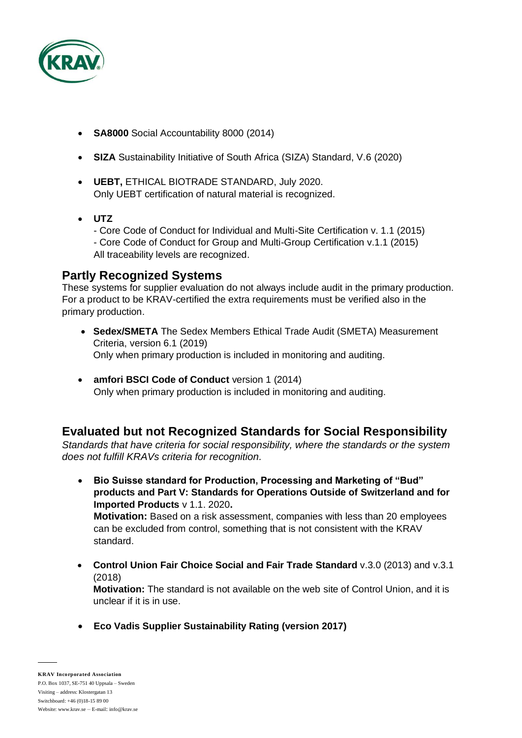

- **SA8000** Social Accountability 8000 (2014)
- **SIZA** Sustainability Initiative of South Africa (SIZA) Standard, V.6 (2020)
- **UEBT,** ETHICAL BIOTRADE STANDARD, July 2020. Only UEBT certification of natural material is recognized.
- **UTZ**

- Core Code of Conduct for Individual and Multi-Site Certification v. 1.1 (2015) - Core Code of Conduct for Group and Multi-Group Certification v.1.1 (2015) All traceability levels are recognized.

### **Partly Recognized Systems**

These systems for supplier evaluation do not always include audit in the primary production. For a product to be KRAV-certified the extra requirements must be verified also in the primary production.

- **Sedex/SMETA** The Sedex Members Ethical Trade Audit (SMETA) Measurement Criteria, version 6.1 (2019) Only when primary production is included in monitoring and auditing.
- **amfori BSCI Code of Conduct** version 1 (2014) Only when primary production is included in monitoring and auditing.

## **Evaluated but not Recognized Standards for Social Responsibility**

*Standards that have criteria for social responsibility, where the standards or the system does not fulfill KRAVs criteria for recognition.* 

• **Bio Suisse standard for Production, Processing and Marketing of "Bud" products and Part V: Standards for Operations Outside of Switzerland and for Imported Products** v 1.1. 2020**. Motivation:** Based on a risk assessment, companies with less than 20 employees

can be excluded from control, something that is not consistent with the KRAV standard.

• **Control Union Fair Choice Social and Fair Trade Standard** v.3.0 (2013) and v.3.1 (2018)

**Motivation:** The standard is not available on the web site of Control Union, and it is unclear if it is in use.

• **Eco Vadis Supplier Sustainability Rating (version 2017)**